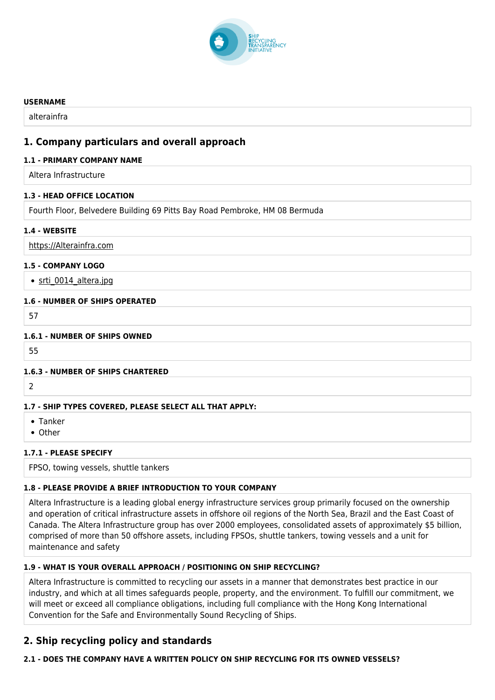

#### **USERNAME**

alterainfra

# **1. Company particulars and overall approach**

## **1.1 - PRIMARY COMPANY NAME**

Altera Infrastructure

## **1.3 - HEAD OFFICE LOCATION**

Fourth Floor, Belvedere Building 69 Pitts Bay Road Pembroke, HM 08 Bermuda

## **1.4 - WEBSITE**

<https://Alterainfra.com>

# **1.5 - COMPANY LOGO**

• srti 0014 altera.jpg

## **1.6 - NUMBER OF SHIPS OPERATED**

57

# **1.6.1 - NUMBER OF SHIPS OWNED**

55

## **1.6.3 - NUMBER OF SHIPS CHARTERED**

 $\overline{2}$ 

## **1.7 - SHIP TYPES COVERED, PLEASE SELECT ALL THAT APPLY:**

- Tanker
- Other

# **1.7.1 - PLEASE SPECIFY**

FPSO, towing vessels, shuttle tankers

# **1.8 - PLEASE PROVIDE A BRIEF INTRODUCTION TO YOUR COMPANY**

Altera Infrastructure is a leading global energy infrastructure services group primarily focused on the ownership and operation of critical infrastructure assets in offshore oil regions of the North Sea, Brazil and the East Coast of Canada. The Altera Infrastructure group has over 2000 employees, consolidated assets of approximately \$5 billion, comprised of more than 50 offshore assets, including FPSOs, shuttle tankers, towing vessels and a unit for maintenance and safety

# **1.9 - WHAT IS YOUR OVERALL APPROACH / POSITIONING ON SHIP RECYCLING?**

Altera Infrastructure is committed to recycling our assets in a manner that demonstrates best practice in our industry, and which at all times safeguards people, property, and the environment. To fulfill our commitment, we will meet or exceed all compliance obligations, including full compliance with the Hong Kong International Convention for the Safe and Environmentally Sound Recycling of Ships.

# **2. Ship recycling policy and standards**

# **2.1 - DOES THE COMPANY HAVE A WRITTEN POLICY ON SHIP RECYCLING FOR ITS OWNED VESSELS?**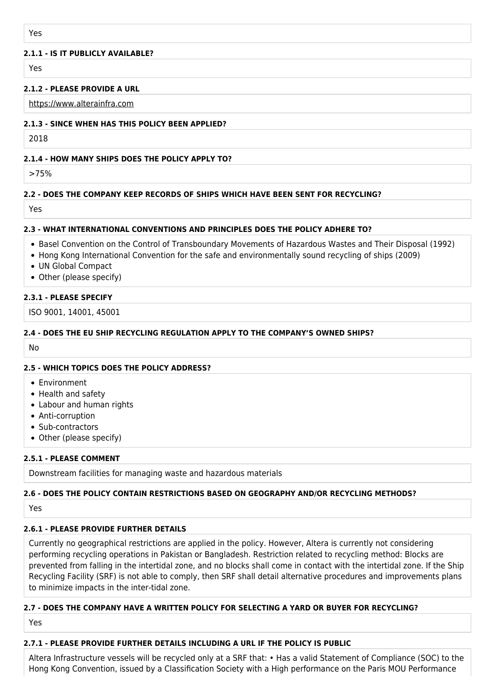#### **2.1.1 - IS IT PUBLICLY AVAILABLE?**

Yes

## **2.1.2 - PLEASE PROVIDE A URL**

<https://www.alterainfra.com>

#### **2.1.3 - SINCE WHEN HAS THIS POLICY BEEN APPLIED?**

2018

## **2.1.4 - HOW MANY SHIPS DOES THE POLICY APPLY TO?**

>75%

## **2.2 - DOES THE COMPANY KEEP RECORDS OF SHIPS WHICH HAVE BEEN SENT FOR RECYCLING?**

Yes

## **2.3 - WHAT INTERNATIONAL CONVENTIONS AND PRINCIPLES DOES THE POLICY ADHERE TO?**

- Basel Convention on the Control of Transboundary Movements of Hazardous Wastes and Their Disposal (1992)
- Hong Kong International Convention for the safe and environmentally sound recycling of ships (2009)
- UN Global Compact
- Other (please specify)

## **2.3.1 - PLEASE SPECIFY**

ISO 9001, 14001, 45001

# **2.4 - DOES THE EU SHIP RECYCLING REGULATION APPLY TO THE COMPANY'S OWNED SHIPS?**

No

## **2.5 - WHICH TOPICS DOES THE POLICY ADDRESS?**

- Environment
- Health and safety
- Labour and human rights
- Anti-corruption
- Sub-contractors
- Other (please specify)

## **2.5.1 - PLEASE COMMENT**

Downstream facilities for managing waste and hazardous materials

# **2.6 - DOES THE POLICY CONTAIN RESTRICTIONS BASED ON GEOGRAPHY AND/OR RECYCLING METHODS?**

Yes

## **2.6.1 - PLEASE PROVIDE FURTHER DETAILS**

Currently no geographical restrictions are applied in the policy. However, Altera is currently not considering performing recycling operations in Pakistan or Bangladesh. Restriction related to recycling method: Blocks are prevented from falling in the intertidal zone, and no blocks shall come in contact with the intertidal zone. If the Ship Recycling Facility (SRF) is not able to comply, then SRF shall detail alternative procedures and improvements plans to minimize impacts in the inter-tidal zone.

## **2.7 - DOES THE COMPANY HAVE A WRITTEN POLICY FOR SELECTING A YARD OR BUYER FOR RECYCLING?**

Yes

## **2.7.1 - PLEASE PROVIDE FURTHER DETAILS INCLUDING A URL IF THE POLICY IS PUBLIC**

Altera Infrastructure vessels will be recycled only at a SRF that: • Has a valid Statement of Compliance (SOC) to the Hong Kong Convention, issued by a Classification Society with a High performance on the Paris MOU Performance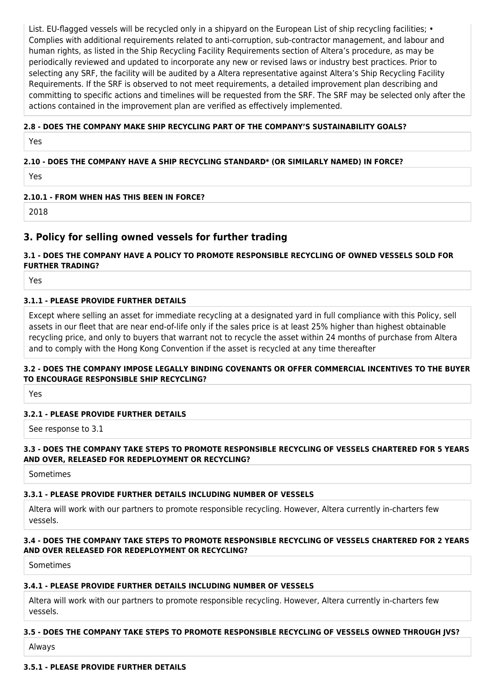List. EU-flagged vessels will be recycled only in a shipyard on the European List of ship recycling facilities; • Complies with additional requirements related to anti-corruption, sub-contractor management, and labour and human rights, as listed in the Ship Recycling Facility Requirements section of Altera's procedure, as may be periodically reviewed and updated to incorporate any new or revised laws or industry best practices. Prior to selecting any SRF, the facility will be audited by a Altera representative against Altera's Ship Recycling Facility Requirements. If the SRF is observed to not meet requirements, a detailed improvement plan describing and committing to specific actions and timelines will be requested from the SRF. The SRF may be selected only after the actions contained in the improvement plan are verified as effectively implemented.

## **2.8 - DOES THE COMPANY MAKE SHIP RECYCLING PART OF THE COMPANY'S SUSTAINABILITY GOALS?**

Yes

# **2.10 - DOES THE COMPANY HAVE A SHIP RECYCLING STANDARD\* (OR SIMILARLY NAMED) IN FORCE?**

Yes

# **2.10.1 - FROM WHEN HAS THIS BEEN IN FORCE?**

2018

# **3. Policy for selling owned vessels for further trading**

# **3.1 - DOES THE COMPANY HAVE A POLICY TO PROMOTE RESPONSIBLE RECYCLING OF OWNED VESSELS SOLD FOR FURTHER TRADING?**

Yes

## **3.1.1 - PLEASE PROVIDE FURTHER DETAILS**

Except where selling an asset for immediate recycling at a designated yard in full compliance with this Policy, sell assets in our fleet that are near end-of-life only if the sales price is at least 25% higher than highest obtainable recycling price, and only to buyers that warrant not to recycle the asset within 24 months of purchase from Altera and to comply with the Hong Kong Convention if the asset is recycled at any time thereafter

#### **3.2 - DOES THE COMPANY IMPOSE LEGALLY BINDING COVENANTS OR OFFER COMMERCIAL INCENTIVES TO THE BUYER TO ENCOURAGE RESPONSIBLE SHIP RECYCLING?**

Yes

# **3.2.1 - PLEASE PROVIDE FURTHER DETAILS**

See response to 3.1

## **3.3 - DOES THE COMPANY TAKE STEPS TO PROMOTE RESPONSIBLE RECYCLING OF VESSELS CHARTERED FOR 5 YEARS AND OVER, RELEASED FOR REDEPLOYMENT OR RECYCLING?**

Sometimes

# **3.3.1 - PLEASE PROVIDE FURTHER DETAILS INCLUDING NUMBER OF VESSELS**

Altera will work with our partners to promote responsible recycling. However, Altera currently in-charters few vessels.

# **3.4 - DOES THE COMPANY TAKE STEPS TO PROMOTE RESPONSIBLE RECYCLING OF VESSELS CHARTERED FOR 2 YEARS AND OVER RELEASED FOR REDEPLOYMENT OR RECYCLING?**

Sometimes

## **3.4.1 - PLEASE PROVIDE FURTHER DETAILS INCLUDING NUMBER OF VESSELS**

Altera will work with our partners to promote responsible recycling. However, Altera currently in-charters few vessels.

# **3.5 - DOES THE COMPANY TAKE STEPS TO PROMOTE RESPONSIBLE RECYCLING OF VESSELS OWNED THROUGH JVS?**

Always

# **3.5.1 - PLEASE PROVIDE FURTHER DETAILS**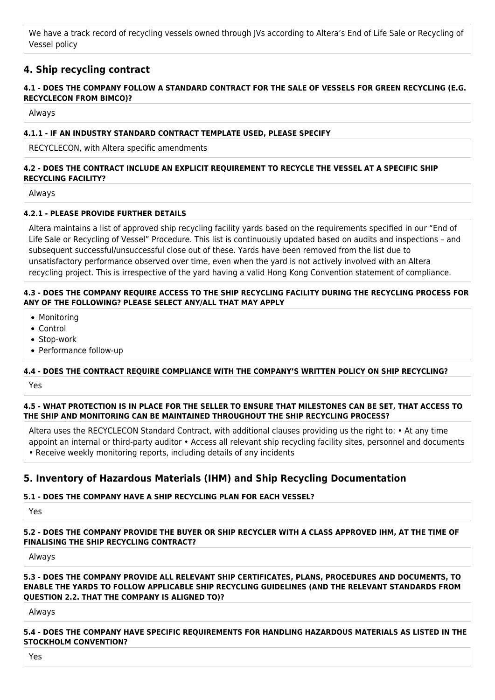We have a track record of recycling vessels owned through JVs according to Altera's End of Life Sale or Recycling of Vessel policy

# **4. Ship recycling contract**

## **4.1 - DOES THE COMPANY FOLLOW A STANDARD CONTRACT FOR THE SALE OF VESSELS FOR GREEN RECYCLING (E.G. RECYCLECON FROM BIMCO)?**

Always

## **4.1.1 - IF AN INDUSTRY STANDARD CONTRACT TEMPLATE USED, PLEASE SPECIFY**

RECYCLECON, with Altera specific amendments

# **4.2 - DOES THE CONTRACT INCLUDE AN EXPLICIT REQUIREMENT TO RECYCLE THE VESSEL AT A SPECIFIC SHIP RECYCLING FACILITY?**

Always

# **4.2.1 - PLEASE PROVIDE FURTHER DETAILS**

Altera maintains a list of approved ship recycling facility yards based on the requirements specified in our "End of Life Sale or Recycling of Vessel" Procedure. This list is continuously updated based on audits and inspections – and subsequent successful/unsuccessful close out of these. Yards have been removed from the list due to unsatisfactory performance observed over time, even when the yard is not actively involved with an Altera recycling project. This is irrespective of the yard having a valid Hong Kong Convention statement of compliance.

## **4.3 - DOES THE COMPANY REQUIRE ACCESS TO THE SHIP RECYCLING FACILITY DURING THE RECYCLING PROCESS FOR ANY OF THE FOLLOWING? PLEASE SELECT ANY/ALL THAT MAY APPLY**

- Monitoring
- Control
- Stop-work
- Performance follow-up

# **4.4 - DOES THE CONTRACT REQUIRE COMPLIANCE WITH THE COMPANY'S WRITTEN POLICY ON SHIP RECYCLING?**

Yes

**4.5 - WHAT PROTECTION IS IN PLACE FOR THE SELLER TO ENSURE THAT MILESTONES CAN BE SET, THAT ACCESS TO THE SHIP AND MONITORING CAN BE MAINTAINED THROUGHOUT THE SHIP RECYCLING PROCESS?**

Altera uses the RECYCLECON Standard Contract, with additional clauses providing us the right to: • At any time appoint an internal or third-party auditor • Access all relevant ship recycling facility sites, personnel and documents • Receive weekly monitoring reports, including details of any incidents

# **5. Inventory of Hazardous Materials (IHM) and Ship Recycling Documentation**

# **5.1 - DOES THE COMPANY HAVE A SHIP RECYCLING PLAN FOR EACH VESSEL?**

Yes

## **5.2 - DOES THE COMPANY PROVIDE THE BUYER OR SHIP RECYCLER WITH A CLASS APPROVED IHM, AT THE TIME OF FINALISING THE SHIP RECYCLING CONTRACT?**

Always

#### **5.3 - DOES THE COMPANY PROVIDE ALL RELEVANT SHIP CERTIFICATES, PLANS, PROCEDURES AND DOCUMENTS, TO ENABLE THE YARDS TO FOLLOW APPLICABLE SHIP RECYCLING GUIDELINES (AND THE RELEVANT STANDARDS FROM QUESTION 2.2. THAT THE COMPANY IS ALIGNED TO)?**

Always

#### **5.4 - DOES THE COMPANY HAVE SPECIFIC REQUIREMENTS FOR HANDLING HAZARDOUS MATERIALS AS LISTED IN THE STOCKHOLM CONVENTION?**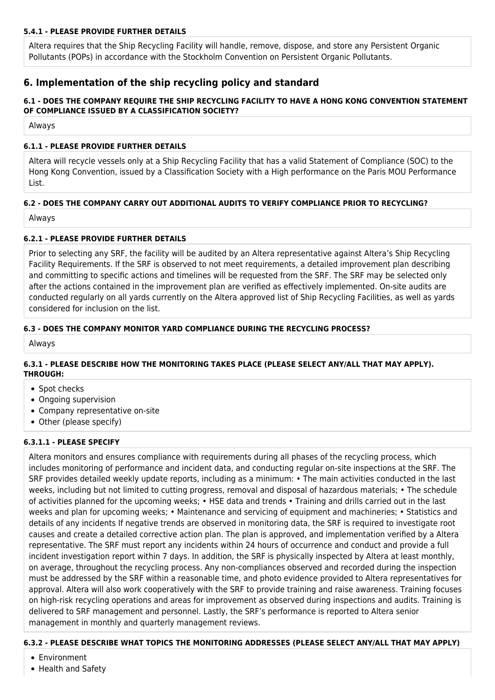# **5.4.1 - PLEASE PROVIDE FURTHER DETAILS**

Altera requires that the Ship Recycling Facility will handle, remove, dispose, and store any Persistent Organic Pollutants (POPs) in accordance with the Stockholm Convention on Persistent Organic Pollutants.

# **6. Implementation of the ship recycling policy and standard**

## **6.1 - DOES THE COMPANY REQUIRE THE SHIP RECYCLING FACILITY TO HAVE A HONG KONG CONVENTION STATEMENT OF COMPLIANCE ISSUED BY A CLASSIFICATION SOCIETY?**

Always

## **6.1.1 - PLEASE PROVIDE FURTHER DETAILS**

Altera will recycle vessels only at a Ship Recycling Facility that has a valid Statement of Compliance (SOC) to the Hong Kong Convention, issued by a Classification Society with a High performance on the Paris MOU Performance List.

# **6.2 - DOES THE COMPANY CARRY OUT ADDITIONAL AUDITS TO VERIFY COMPLIANCE PRIOR TO RECYCLING?**

Always

# **6.2.1 - PLEASE PROVIDE FURTHER DETAILS**

Prior to selecting any SRF, the facility will be audited by an Altera representative against Altera's Ship Recycling Facility Requirements. If the SRF is observed to not meet requirements, a detailed improvement plan describing and committing to specific actions and timelines will be requested from the SRF. The SRF may be selected only after the actions contained in the improvement plan are verified as effectively implemented. On-site audits are conducted regularly on all yards currently on the Altera approved list of Ship Recycling Facilities, as well as yards considered for inclusion on the list.

## **6.3 - DOES THE COMPANY MONITOR YARD COMPLIANCE DURING THE RECYCLING PROCESS?**

Always

## **6.3.1 - PLEASE DESCRIBE HOW THE MONITORING TAKES PLACE (PLEASE SELECT ANY/ALL THAT MAY APPLY). THROUGH:**

- Spot checks
- Ongoing supervision
- Company representative on-site
- Other (please specify)

# **6.3.1.1 - PLEASE SPECIFY**

Altera monitors and ensures compliance with requirements during all phases of the recycling process, which includes monitoring of performance and incident data, and conducting regular on-site inspections at the SRF. The SRF provides detailed weekly update reports, including as a minimum: • The main activities conducted in the last weeks, including but not limited to cutting progress, removal and disposal of hazardous materials; • The schedule of activities planned for the upcoming weeks; • HSE data and trends • Training and drills carried out in the last weeks and plan for upcoming weeks; • Maintenance and servicing of equipment and machineries; • Statistics and details of any incidents If negative trends are observed in monitoring data, the SRF is required to investigate root causes and create a detailed corrective action plan. The plan is approved, and implementation verified by a Altera representative. The SRF must report any incidents within 24 hours of occurrence and conduct and provide a full incident investigation report within 7 days. In addition, the SRF is physically inspected by Altera at least monthly, on average, throughout the recycling process. Any non-compliances observed and recorded during the inspection must be addressed by the SRF within a reasonable time, and photo evidence provided to Altera representatives for approval. Altera will also work cooperatively with the SRF to provide training and raise awareness. Training focuses on high-risk recycling operations and areas for improvement as observed during inspections and audits. Training is delivered to SRF management and personnel. Lastly, the SRF's performance is reported to Altera senior management in monthly and quarterly management reviews.

# **6.3.2 - PLEASE DESCRIBE WHAT TOPICS THE MONITORING ADDRESSES (PLEASE SELECT ANY/ALL THAT MAY APPLY)**

- Environment
- Health and Safety